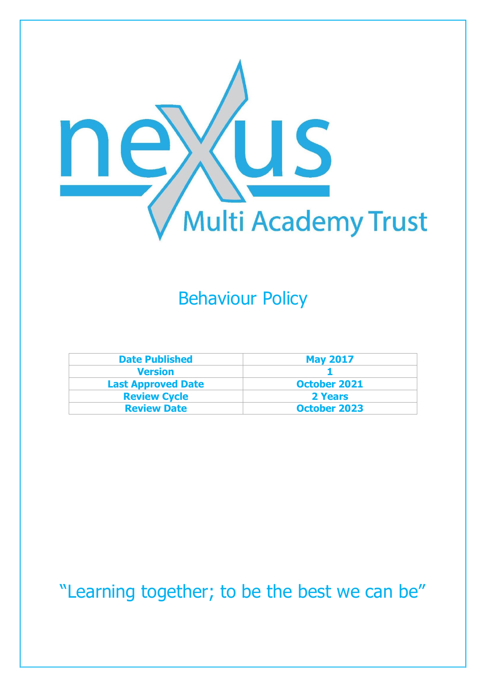

### Behaviour Policy

| <b>Date Published</b>     | <b>May 2017</b>     |
|---------------------------|---------------------|
| <b>Version</b>            |                     |
| <b>Last Approved Date</b> | <b>October 2021</b> |
| <b>Review Cycle</b>       | 2 Years             |
| <b>Review Date</b>        | <b>October 2023</b> |

"Learning together; to be the best we can be"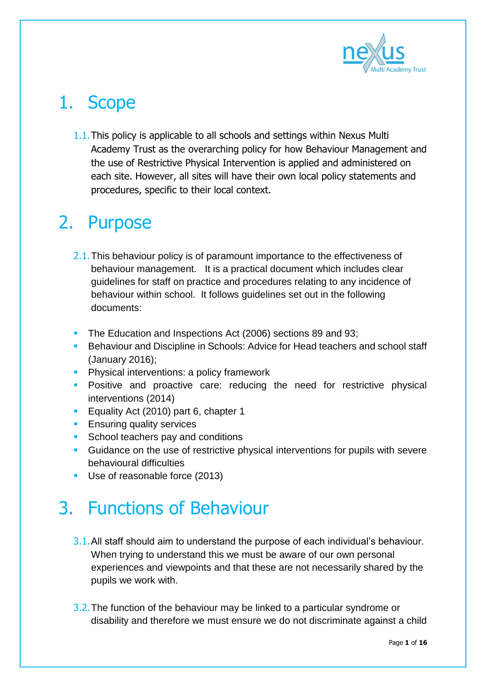

# 1. Scope

1.1.This policy is applicable to all schools and settings within Nexus Multi Academy Trust as the overarching policy for how Behaviour Management and the use of Restrictive Physical Intervention is applied and administered on each site. However, all sites will have their own local policy statements and procedures, specific to their local context.

### 2. Purpose

- 2.1. This behaviour policy is of paramount importance to the effectiveness of behaviour management. It is a practical document which includes clear guidelines for staff on practice and procedures relating to any incidence of behaviour within school. It follows guidelines set out in the following documents:
- The Education and Inspections Act (2006) sections 89 and 93;
- **Behaviour and Discipline in Schools: Advice for Head teachers and school staff** (January 2016);
- **Physical interventions: a policy framework**
- **Positive and proactive care: reducing the need for restrictive physical** interventions (2014)
- **Equality Act (2010) part 6, chapter 1**
- **Ensuring quality services**
- **School teachers pay and conditions**
- **Guidance on the use of restrictive physical interventions for pupils with severe** behavioural difficulties
- Use of reasonable force (2013)

### 3. Functions of Behaviour

- 3.1. All staff should aim to understand the purpose of each individual's behaviour. When trying to understand this we must be aware of our own personal experiences and viewpoints and that these are not necessarily shared by the pupils we work with.
- 3.2. The function of the behaviour may be linked to a particular syndrome or disability and therefore we must ensure we do not discriminate against a child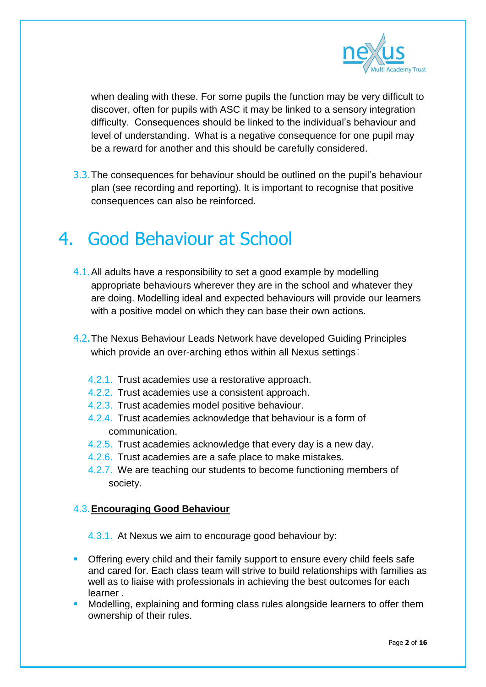

when dealing with these. For some pupils the function may be very difficult to discover, often for pupils with ASC it may be linked to a sensory integration difficulty. Consequences should be linked to the individual's behaviour and level of understanding. What is a negative consequence for one pupil may be a reward for another and this should be carefully considered.

3.3. The consequences for behaviour should be outlined on the pupil's behaviour plan (see recording and reporting). It is important to recognise that positive consequences can also be reinforced.

#### 4. Good Behaviour at School

- 4.1.All adults have a responsibility to set a good example by modelling appropriate behaviours wherever they are in the school and whatever they are doing. Modelling ideal and expected behaviours will provide our learners with a positive model on which they can base their own actions.
- 4.2.The Nexus Behaviour Leads Network have developed Guiding Principles which provide an over-arching ethos within all Nexus settings:
	- 4.2.1. Trust academies use a restorative approach.
	- 4.2.2. Trust academies use a consistent approach.
	- 4.2.3. Trust academies model positive behaviour.
	- 4.2.4. Trust academies acknowledge that behaviour is a form of communication.
	- 4.2.5. Trust academies acknowledge that every day is a new day.
	- 4.2.6. Trust academies are a safe place to make mistakes.
	- 4.2.7. We are teaching our students to become functioning members of society.

#### 4.3.**Encouraging Good Behaviour**

4.3.1. At Nexus we aim to encourage good behaviour by:

- **Offering every child and their family support to ensure every child feels safe** and cared for. Each class team will strive to build relationships with families as well as to liaise with professionals in achieving the best outcomes for each learner .
- Modelling, explaining and forming class rules alongside learners to offer them ownership of their rules.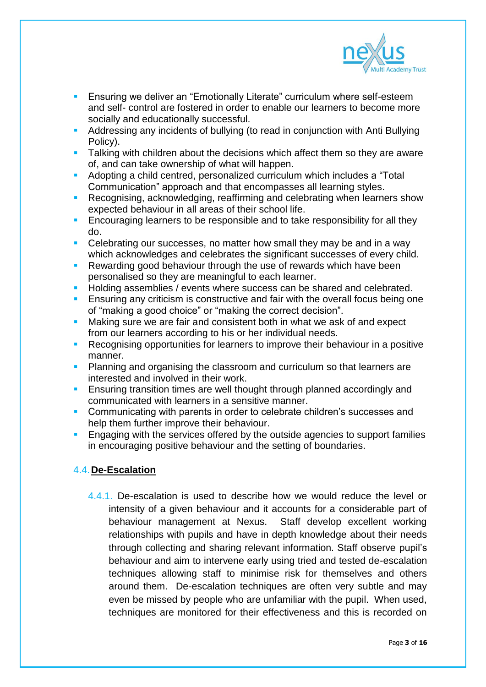

- **Ensuring we deliver an "Emotionally Literate" curriculum where self-esteem** and self- control are fostered in order to enable our learners to become more socially and educationally successful.
- Addressing any incidents of bullying (to read in conjunction with Anti Bullying Policy).
- **Talking with children about the decisions which affect them so they are aware** of, and can take ownership of what will happen.
- Adopting a child centred, personalized curriculum which includes a "Total Communication" approach and that encompasses all learning styles.
- **Recognising, acknowledging, reaffirming and celebrating when learners show** expected behaviour in all areas of their school life.
- **Encouraging learners to be responsible and to take responsibility for all they** do.
- Celebrating our successes, no matter how small they may be and in a way which acknowledges and celebrates the significant successes of every child.
- **Rewarding good behaviour through the use of rewards which have been** personalised so they are meaningful to each learner.
- Holding assemblies / events where success can be shared and celebrated.
- **Ensuring any criticism is constructive and fair with the overall focus being one** of "making a good choice" or "making the correct decision".
- **Making sure we are fair and consistent both in what we ask of and expect** from our learners according to his or her individual needs.
- Recognising opportunities for learners to improve their behaviour in a positive manner.
- Planning and organising the classroom and curriculum so that learners are interested and involved in their work.
- **Ensuring transition times are well thought through planned accordingly and** communicated with learners in a sensitive manner.
- Communicating with parents in order to celebrate children's successes and help them further improve their behaviour.
- Engaging with the services offered by the outside agencies to support families in encouraging positive behaviour and the setting of boundaries.

#### 4.4.**De-Escalation**

4.4.1. De-escalation is used to describe how we would reduce the level or intensity of a given behaviour and it accounts for a considerable part of behaviour management at Nexus. Staff develop excellent working relationships with pupils and have in depth knowledge about their needs through collecting and sharing relevant information. Staff observe pupil's behaviour and aim to intervene early using tried and tested de-escalation techniques allowing staff to minimise risk for themselves and others around them. De-escalation techniques are often very subtle and may even be missed by people who are unfamiliar with the pupil. When used, techniques are monitored for their effectiveness and this is recorded on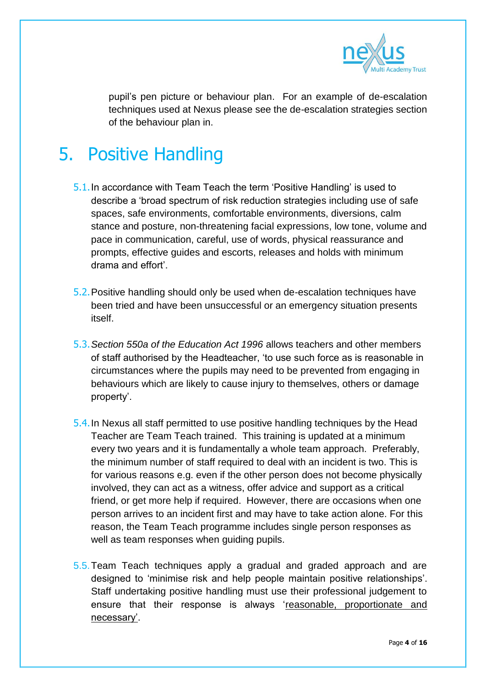

pupil's pen picture or behaviour plan. For an example of de-escalation techniques used at Nexus please see the de-escalation strategies section of the behaviour plan in.

# 5. Positive Handling

- 5.1.In accordance with Team Teach the term 'Positive Handling' is used to describe a 'broad spectrum of risk reduction strategies including use of safe spaces, safe environments, comfortable environments, diversions, calm stance and posture, non-threatening facial expressions, low tone, volume and pace in communication, careful, use of words, physical reassurance and prompts, effective guides and escorts, releases and holds with minimum drama and effort'.
- 5.2.Positive handling should only be used when de-escalation techniques have been tried and have been unsuccessful or an emergency situation presents itself.
- 5.3.*Section 550a of the Education Act 1996* allows teachers and other members of staff authorised by the Headteacher, 'to use such force as is reasonable in circumstances where the pupils may need to be prevented from engaging in behaviours which are likely to cause injury to themselves, others or damage property'.
- 5.4.In Nexus all staff permitted to use positive handling techniques by the Head Teacher are Team Teach trained. This training is updated at a minimum every two years and it is fundamentally a whole team approach. Preferably, the minimum number of staff required to deal with an incident is two. This is for various reasons e.g. even if the other person does not become physically involved, they can act as a witness, offer advice and support as a critical friend, or get more help if required. However, there are occasions when one person arrives to an incident first and may have to take action alone. For this reason, the Team Teach programme includes single person responses as well as team responses when guiding pupils.
- 5.5.Team Teach techniques apply a gradual and graded approach and are designed to 'minimise risk and help people maintain positive relationships'. Staff undertaking positive handling must use their professional judgement to ensure that their response is always 'reasonable, proportionate and necessary'.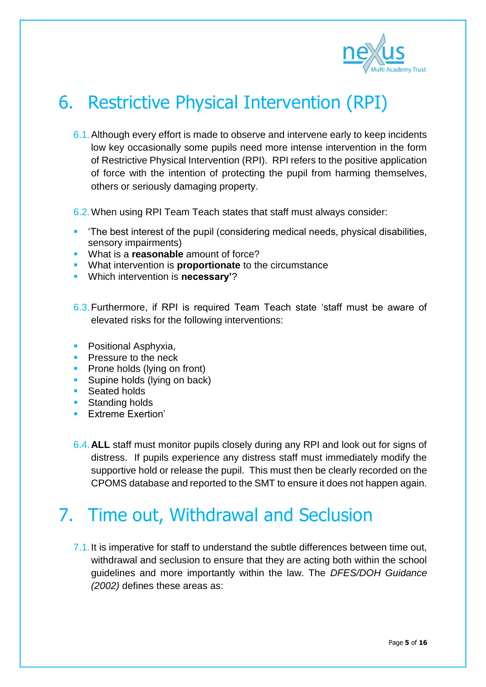

# 6. Restrictive Physical Intervention (RPI)

- 6.1.Although every effort is made to observe and intervene early to keep incidents low key occasionally some pupils need more intense intervention in the form of Restrictive Physical Intervention (RPI). RPI refers to the positive application of force with the intention of protecting the pupil from harming themselves, others or seriously damaging property.
- 6.2.When using RPI Team Teach states that staff must always consider:
- 'The best interest of the pupil (considering medical needs, physical disabilities, sensory impairments)
- What is a **reasonable** amount of force?
- **What intervention is proportionate** to the circumstance
- Which intervention is **necessary'**?
- 6.3.Furthermore, if RPI is required Team Teach state 'staff must be aware of elevated risks for the following interventions:
- **Positional Asphyxia,**
- **Pressure to the neck**
- **Prone holds (lying on front)**
- **Supine holds (lying on back)**
- Seated holds
- **Standing holds**
- **Extreme Exertion'**
- 6.4.**ALL** staff must monitor pupils closely during any RPI and look out for signs of distress. If pupils experience any distress staff must immediately modify the supportive hold or release the pupil. This must then be clearly recorded on the CPOMS database and reported to the SMT to ensure it does not happen again.

### 7. Time out, Withdrawal and Seclusion

7.1.It is imperative for staff to understand the subtle differences between time out, withdrawal and seclusion to ensure that they are acting both within the school guidelines and more importantly within the law. The *DFES/DOH Guidance (2002)* defines these areas as: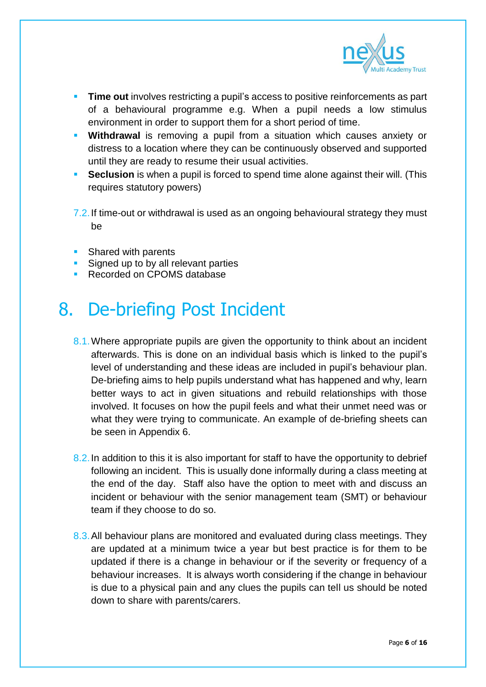

- **Time out** involves restricting a pupil's access to positive reinforcements as part of a behavioural programme e.g. When a pupil needs a low stimulus environment in order to support them for a short period of time.
- **Withdrawal** is removing a pupil from a situation which causes anxiety or distress to a location where they can be continuously observed and supported until they are ready to resume their usual activities.
- **Seclusion** is when a pupil is forced to spend time alone against their will. (This requires statutory powers)
- 7.2. If time-out or withdrawal is used as an ongoing behavioural strategy they must be
- Shared with parents
- Signed up to by all relevant parties
- Recorded on CPOMS database

# 8. De-briefing Post Incident

- 8.1. Where appropriate pupils are given the opportunity to think about an incident afterwards. This is done on an individual basis which is linked to the pupil's level of understanding and these ideas are included in pupil's behaviour plan. De-briefing aims to help pupils understand what has happened and why, learn better ways to act in given situations and rebuild relationships with those involved. It focuses on how the pupil feels and what their unmet need was or what they were trying to communicate. An example of de-briefing sheets can be seen in Appendix 6.
- 8.2. In addition to this it is also important for staff to have the opportunity to debrief following an incident. This is usually done informally during a class meeting at the end of the day. Staff also have the option to meet with and discuss an incident or behaviour with the senior management team (SMT) or behaviour team if they choose to do so.
- 8.3.All behaviour plans are monitored and evaluated during class meetings. They are updated at a minimum twice a year but best practice is for them to be updated if there is a change in behaviour or if the severity or frequency of a behaviour increases. It is always worth considering if the change in behaviour is due to a physical pain and any clues the pupils can tell us should be noted down to share with parents/carers.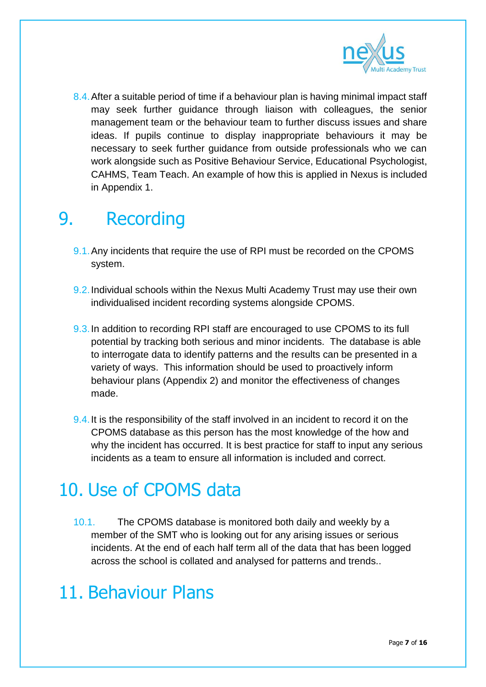

8.4. After a suitable period of time if a behaviour plan is having minimal impact staff may seek further guidance through liaison with colleagues, the senior management team or the behaviour team to further discuss issues and share ideas. If pupils continue to display inappropriate behaviours it may be necessary to seek further guidance from outside professionals who we can work alongside such as Positive Behaviour Service, Educational Psychologist, CAHMS, Team Teach. An example of how this is applied in Nexus is included in Appendix 1.

### 9. Recording

- 9.1.Any incidents that require the use of RPI must be recorded on the CPOMS system.
- 9.2.Individual schools within the Nexus Multi Academy Trust may use their own individualised incident recording systems alongside CPOMS.
- 9.3.In addition to recording RPI staff are encouraged to use CPOMS to its full potential by tracking both serious and minor incidents. The database is able to interrogate data to identify patterns and the results can be presented in a variety of ways. This information should be used to proactively inform behaviour plans (Appendix 2) and monitor the effectiveness of changes made.
- 9.4. It is the responsibility of the staff involved in an incident to record it on the CPOMS database as this person has the most knowledge of the how and why the incident has occurred. It is best practice for staff to input any serious incidents as a team to ensure all information is included and correct.

# 10. Use of CPOMS data

10.1. The CPOMS database is monitored both daily and weekly by a member of the SMT who is looking out for any arising issues or serious incidents. At the end of each half term all of the data that has been logged across the school is collated and analysed for patterns and trends..

### 11. Behaviour Plans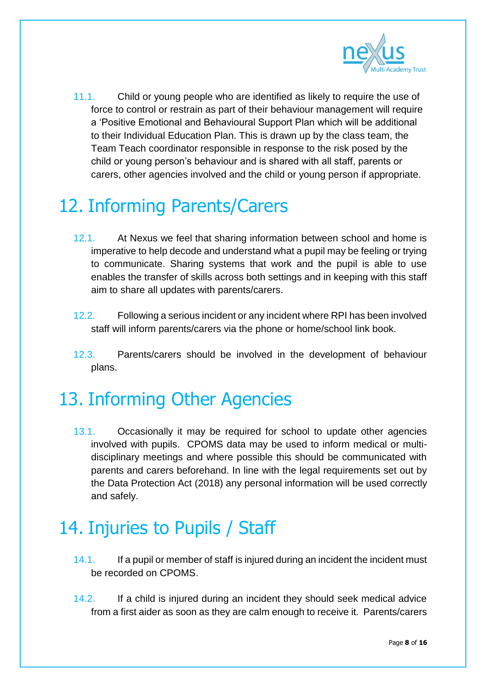

11.1. Child or young people who are identified as likely to require the use of force to control or restrain as part of their behaviour management will require a 'Positive Emotional and Behavioural Support Plan which will be additional to their Individual Education Plan. This is drawn up by the class team, the Team Teach coordinator responsible in response to the risk posed by the child or young person's behaviour and is shared with all staff, parents or carers, other agencies involved and the child or young person if appropriate.

# 12. Informing Parents/Carers

- 12.1. At Nexus we feel that sharing information between school and home is imperative to help decode and understand what a pupil may be feeling or trying to communicate. Sharing systems that work and the pupil is able to use enables the transfer of skills across both settings and in keeping with this staff aim to share all updates with parents/carers.
- 12.2. Following a serious incident or any incident where RPI has been involved staff will inform parents/carers via the phone or home/school link book.
- 12.3. Parents/carers should be involved in the development of behaviour plans.

# 13. Informing Other Agencies

13.1. Occasionally it may be required for school to update other agencies involved with pupils. CPOMS data may be used to inform medical or multidisciplinary meetings and where possible this should be communicated with parents and carers beforehand. In line with the legal requirements set out by the Data Protection Act (2018) any personal information will be used correctly and safely.

### 14. Injuries to Pupils / Staff

- 14.1. If a pupil or member of staff is injured during an incident the incident must be recorded on CPOMS.
- 14.2. If a child is injured during an incident they should seek medical advice from a first aider as soon as they are calm enough to receive it. Parents/carers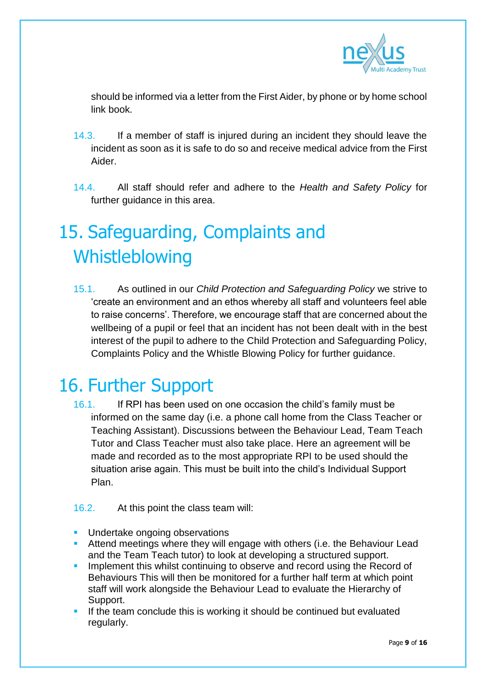

should be informed via a letter from the First Aider, by phone or by home school link book.

- 14.3. If a member of staff is injured during an incident they should leave the incident as soon as it is safe to do so and receive medical advice from the First Aider.
- 14.4. All staff should refer and adhere to the *Health and Safety Policy* for further guidance in this area.

# 15. Safeguarding, Complaints and Whistleblowing

15.1. As outlined in our *Child Protection and Safeguarding Policy* we strive to 'create an environment and an ethos whereby all staff and volunteers feel able to raise concerns'. Therefore, we encourage staff that are concerned about the wellbeing of a pupil or feel that an incident has not been dealt with in the best interest of the pupil to adhere to the Child Protection and Safeguarding Policy, Complaints Policy and the Whistle Blowing Policy for further guidance.

# 16. Further Support

- 16.1. If RPI has been used on one occasion the child's family must be informed on the same day (i.e. a phone call home from the Class Teacher or Teaching Assistant). Discussions between the Behaviour Lead, Team Teach Tutor and Class Teacher must also take place. Here an agreement will be made and recorded as to the most appropriate RPI to be used should the situation arise again. This must be built into the child's Individual Support Plan.
- 16.2. At this point the class team will:
- **Undertake ongoing observations**
- **Attend meetings where they will engage with others (i.e. the Behaviour Lead)** and the Team Teach tutor) to look at developing a structured support.
- Implement this whilst continuing to observe and record using the Record of Behaviours This will then be monitored for a further half term at which point staff will work alongside the Behaviour Lead to evaluate the Hierarchy of Support.
- If the team conclude this is working it should be continued but evaluated regularly.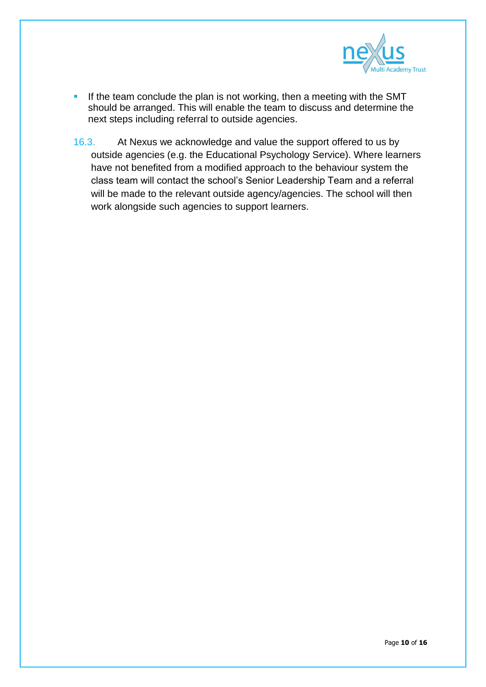

- If the team conclude the plan is not working, then a meeting with the SMT should be arranged. This will enable the team to discuss and determine the next steps including referral to outside agencies.
- 16.3. At Nexus we acknowledge and value the support offered to us by outside agencies (e.g. the Educational Psychology Service). Where learners have not benefited from a modified approach to the behaviour system the class team will contact the school's Senior Leadership Team and a referral will be made to the relevant outside agency/agencies. The school will then work alongside such agencies to support learners.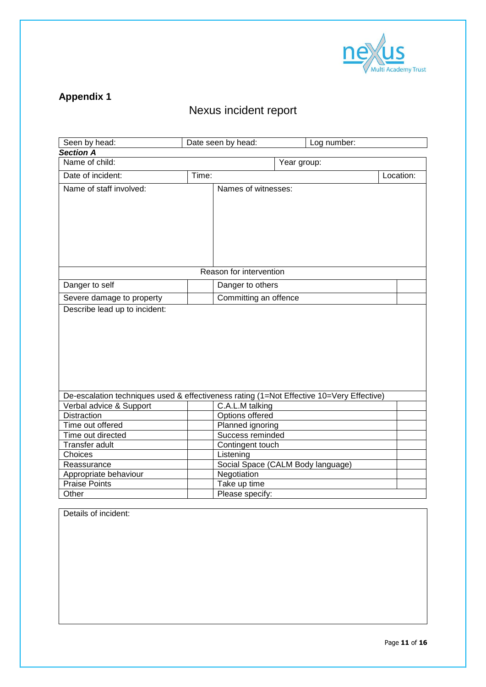

#### **Appendix 1**

#### Nexus incident report

| Seen by head:                                                                            |       | Date seen by head:                   | Log number:                       |           |
|------------------------------------------------------------------------------------------|-------|--------------------------------------|-----------------------------------|-----------|
| <b>Section A</b>                                                                         |       |                                      |                                   |           |
| Name of child:                                                                           |       |                                      | Year group:                       |           |
| Date of incident:                                                                        | Time: |                                      |                                   | Location: |
| Name of staff involved:                                                                  |       | Names of witnesses:                  |                                   |           |
|                                                                                          |       |                                      |                                   |           |
|                                                                                          |       | Reason for intervention              |                                   |           |
| Danger to self                                                                           |       | Danger to others                     |                                   |           |
| Severe damage to property                                                                |       | Committing an offence                |                                   |           |
|                                                                                          |       |                                      |                                   |           |
| De-escalation techniques used & effectiveness rating (1=Not Effective 10=Very Effective) |       |                                      |                                   |           |
| Verbal advice & Support                                                                  |       | C.A.L.M talking                      |                                   |           |
| <b>Distraction</b>                                                                       |       | Options offered                      |                                   |           |
| Time out offered<br>Time out directed                                                    |       | Planned ignoring<br>Success reminded |                                   |           |
| Transfer adult                                                                           |       |                                      |                                   |           |
| Choices                                                                                  |       | Contingent touch<br>Listening        |                                   |           |
| Reassurance                                                                              |       |                                      | Social Space (CALM Body language) |           |
| Appropriate behaviour                                                                    |       | Negotiation                          |                                   |           |
| <b>Praise Points</b>                                                                     |       | Take up time                         |                                   |           |
| Other                                                                                    |       | Please specify:                      |                                   |           |

Details of incident: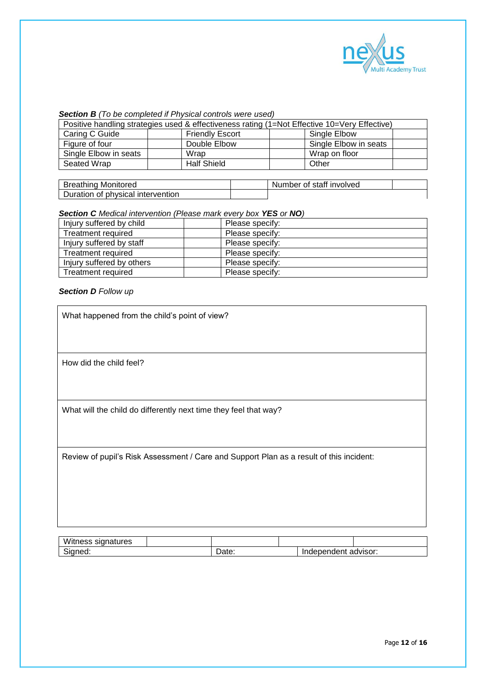

#### *Section B (To be completed if Physical controls were used)*

| Positive handling strategies used & effectiveness rating (1=Not Effective 10=Very Effective) |  |                        |  |                       |  |
|----------------------------------------------------------------------------------------------|--|------------------------|--|-----------------------|--|
| Caring C Guide                                                                               |  | <b>Friendly Escort</b> |  | Single Elbow          |  |
| Figure of four                                                                               |  | Double Elbow           |  | Single Elbow in seats |  |
| Single Elbow in seats                                                                        |  | Wrap                   |  | Wrap on floor         |  |
| Seated Wrap                                                                                  |  | <b>Half Shield</b>     |  | Other                 |  |

| <b>Breathing Monitored</b>        | Number of staff involved |  |
|-----------------------------------|--------------------------|--|
| Duration of physical intervention |                          |  |

#### *Section C Medical intervention (Please mark every box YES or NO)*

| Injury suffered by child  | Please specify: |
|---------------------------|-----------------|
| Treatment required        | Please specify: |
| Injury suffered by staff  | Please specify: |
| <b>Treatment required</b> | Please specify: |
| Injury suffered by others | Please specify: |
| Treatment required        | Please specify: |

#### *Section D Follow up*

| What happened from the child's point of view?                                           |
|-----------------------------------------------------------------------------------------|
|                                                                                         |
| How did the child feel?                                                                 |
|                                                                                         |
| What will the child do differently next time they feel that way?                        |
|                                                                                         |
| Review of pupil's Risk Assessment / Care and Support Plan as a result of this incident: |
|                                                                                         |
|                                                                                         |
|                                                                                         |

| Witness signatures |       |                      |  |
|--------------------|-------|----------------------|--|
| Signed:            | Date. | Independent advisor: |  |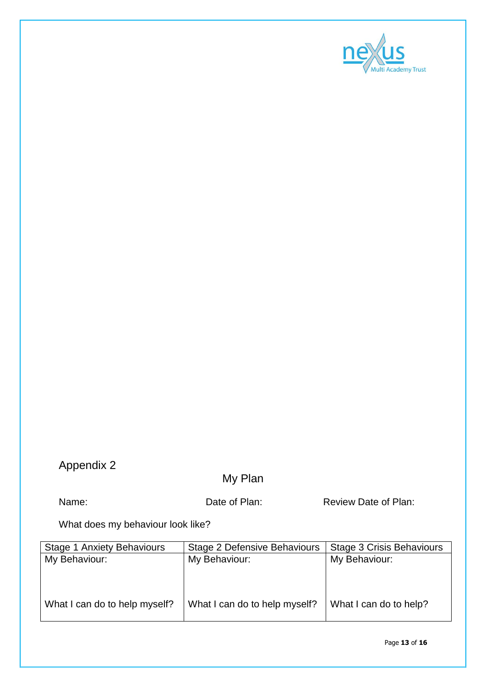

#### Appendix 2

#### My Plan

Name: Name: Date of Plan: Review Date of Plan:

What does my behaviour look like?

| <b>Stage 1 Anxiety Behaviours</b> | Stage 2 Defensive Behaviours  | Stage 3 Crisis Behaviours |
|-----------------------------------|-------------------------------|---------------------------|
| My Behaviour:                     | My Behaviour:                 | My Behaviour:             |
|                                   |                               |                           |
|                                   |                               |                           |
| What I can do to help myself?     | What I can do to help myself? | What I can do to help?    |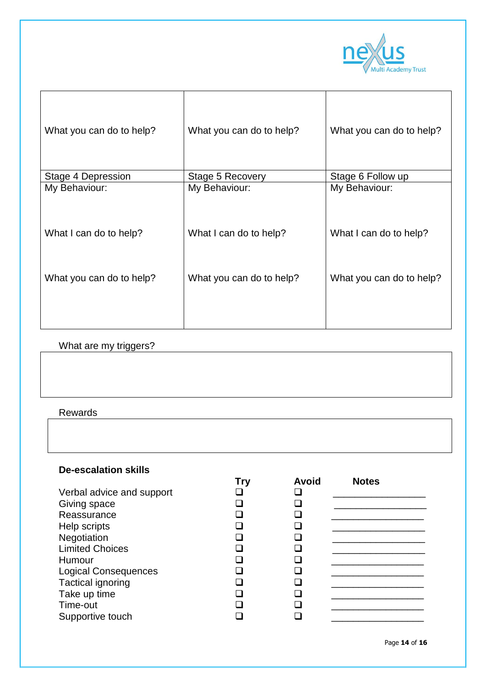

| What you can do to help? | What you can do to help? | What you can do to help? |
|--------------------------|--------------------------|--------------------------|
| Stage 4 Depression       | Stage 5 Recovery         | Stage 6 Follow up        |
| My Behaviour:            | My Behaviour:            | My Behaviour:            |
| What I can do to help?   | What I can do to help?   | What I can do to help?   |
| What you can do to help? | What you can do to help? | What you can do to help? |

#### What are my triggers?

**Rewards** 

#### **De-escalation skills**

|                             | Try | <b>Avoid</b> | <b>Notes</b> |
|-----------------------------|-----|--------------|--------------|
| Verbal advice and support   |     |              |              |
| Giving space                |     |              |              |
| Reassurance                 |     |              |              |
| Help scripts                |     |              |              |
| Negotiation                 |     |              |              |
| <b>Limited Choices</b>      |     |              |              |
| Humour                      |     |              |              |
| <b>Logical Consequences</b> |     |              |              |
| <b>Tactical ignoring</b>    |     |              |              |
| Take up time                |     |              |              |
| Time-out                    |     |              |              |
| Supportive touch            |     |              |              |